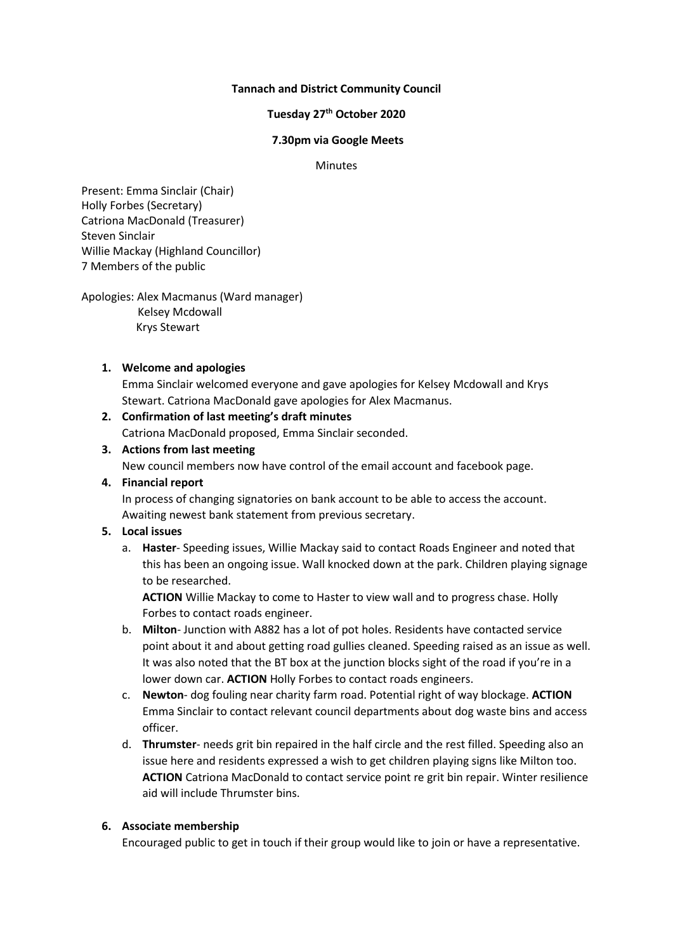## **Tannach and District Community Council**

# **Tuesday 27 th October 2020**

#### **7.30pm via Google Meets**

#### Minutes

Present: Emma Sinclair (Chair) Holly Forbes (Secretary) Catriona MacDonald (Treasurer) Steven Sinclair Willie Mackay (Highland Councillor) 7 Members of the public

Apologies: Alex Macmanus (Ward manager) Kelsey Mcdowall Krys Stewart

#### **1. Welcome and apologies**

Emma Sinclair welcomed everyone and gave apologies for Kelsey Mcdowall and Krys Stewart. Catriona MacDonald gave apologies for Alex Macmanus.

# **2. Confirmation of last meeting's draft minutes**

Catriona MacDonald proposed, Emma Sinclair seconded.

# **3. Actions from last meeting**

New council members now have control of the email account and facebook page.

# **4. Financial report**

In process of changing signatories on bank account to be able to access the account. Awaiting newest bank statement from previous secretary.

# **5. Local issues**

a. **Haster**- Speeding issues, Willie Mackay said to contact Roads Engineer and noted that this has been an ongoing issue. Wall knocked down at the park. Children playing signage to be researched.

**ACTION** Willie Mackay to come to Haster to view wall and to progress chase. Holly Forbes to contact roads engineer.

- b. **Milton** Junction with A882 has a lot of pot holes. Residents have contacted service point about it and about getting road gullies cleaned. Speeding raised as an issue as well. It was also noted that the BT box at the junction blocks sight of the road if you're in a lower down car. **ACTION** Holly Forbes to contact roads engineers.
- c. **Newton** dog fouling near charity farm road. Potential right of way blockage. **ACTION** Emma Sinclair to contact relevant council departments about dog waste bins and access officer.
- d. **Thrumster** needs grit bin repaired in the half circle and the rest filled. Speeding also an issue here and residents expressed a wish to get children playing signs like Milton too. **ACTION** Catriona MacDonald to contact service point re grit bin repair. Winter resilience aid will include Thrumster bins.

# **6. Associate membership**

Encouraged public to get in touch if their group would like to join or have a representative.